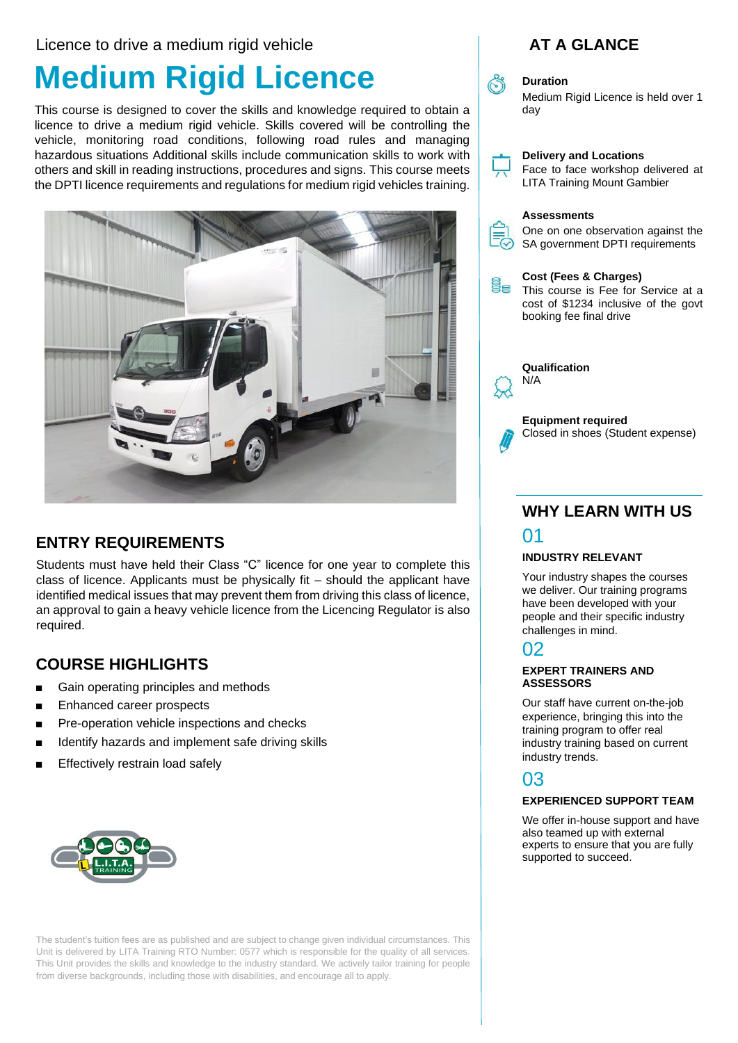#### Licence to drive a medium rigid vehicle

# **Medium Rigid Licence**

This course is designed to cover the skills and knowledge required to obtain a licence to drive a medium rigid vehicle. Skills covered will be controlling the vehicle, monitoring road conditions, following road rules and managing hazardous situations Additional skills include communication skills to work with others and skill in reading instructions, procedures and signs. This course meets the DPTI licence requirements and regulations for medium rigid vehicles training.



### **ENTRY REQUIREMENTS**

Students must have held their Class "C" licence for one year to complete this class of licence. Applicants must be physically fit – should the applicant have identified medical issues that may prevent them from driving this class of licence, an approval to gain a heavy vehicle licence from the Licencing Regulator is also required.

### **COURSE HIGHLIGHTS**

- Gain operating principles and methods
- Enhanced career prospects
- Pre-operation vehicle inspections and checks
- Identify hazards and implement safe driving skills
- Effectively restrain load safely



The student's tuition fees are as published and are subject to change given individual circumstances. This Unit is delivered by LITA Training RTO Number: 0577 which is responsible for the quality of all services. This Unit provides the skills and knowledge to the industry standard. We actively tailor training for people from diverse backgrounds, including those with disabilities, and encourage all to apply.

### **AT A GLANCE**



#### **Duration**

Medium Rigid Licence is held over 1 day



### **WHY LEARN WITH US**

### 01

#### **INDUSTRY RELEVANT**

Your industry shapes the courses we deliver. Our training programs have been developed with your people and their specific industry challenges in mind.

### 02

#### **EXPERT TRAINERS AND ASSESSORS**

Our staff have current on-the-job experience, bringing this into the training program to offer real industry training based on current industry trends.

### 03

#### **EXPERIENCED SUPPORT TEAM**

We offer in-house support and have also teamed up with external experts to ensure that you are fully supported to succeed.